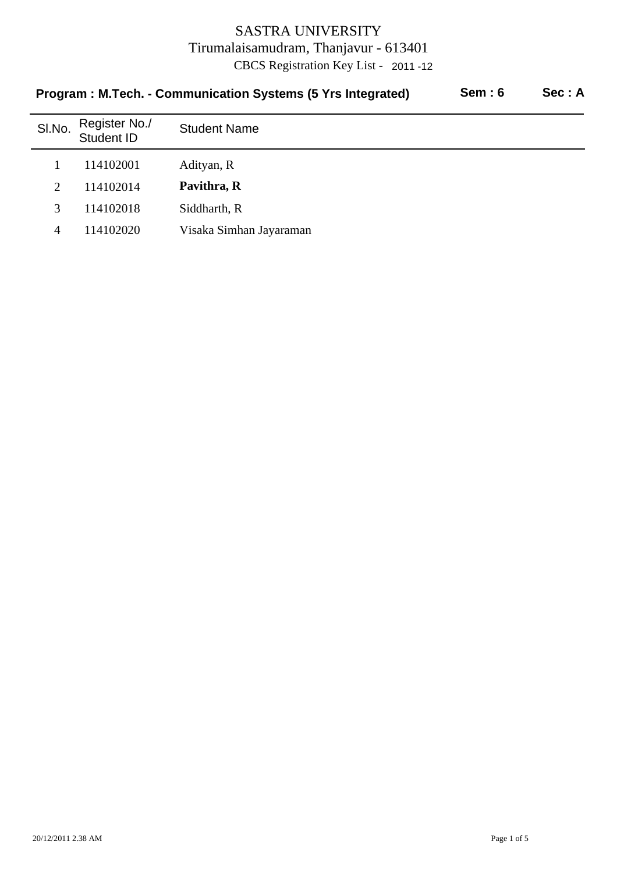|        | Program: M.Tech. - Communication Systems (5 Yrs Integrated) | Sem:6                   | Sec: A |  |
|--------|-------------------------------------------------------------|-------------------------|--------|--|
| SI.No. | Register No./<br>Student ID                                 | <b>Student Name</b>     |        |  |
|        | 114102001                                                   | Adityan, R              |        |  |
| 2      | 114102014                                                   | Pavithra, R             |        |  |
| 3      | 114102018                                                   | Siddharth, R            |        |  |
| 4      | 114102020                                                   | Visaka Simhan Jayaraman |        |  |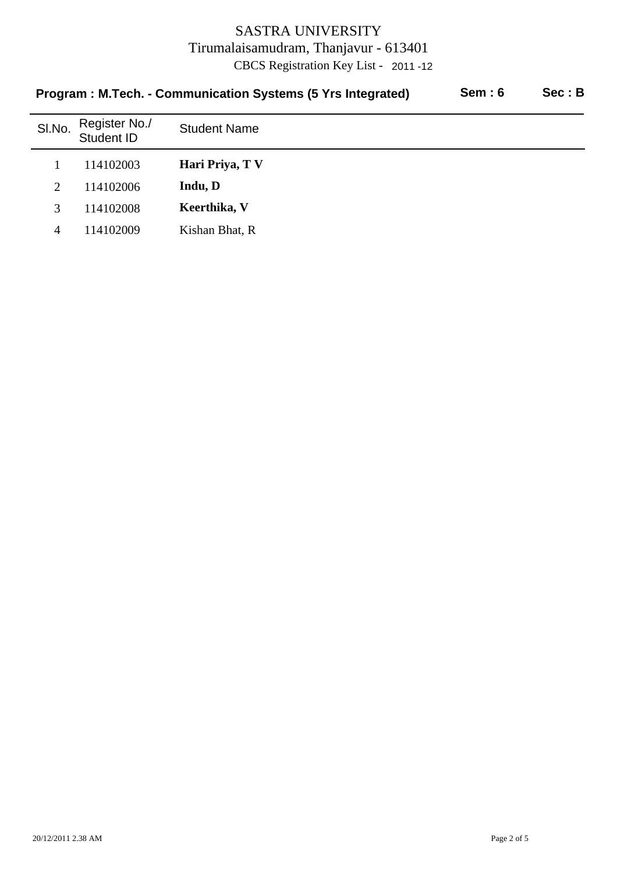| <b>Sem: 6</b><br>Program: M.Tech. - Communication Systems (5 Yrs Integrated) |                             |                     |  | Sec: B |
|------------------------------------------------------------------------------|-----------------------------|---------------------|--|--------|
| SI.No.                                                                       | Register No./<br>Student ID | <b>Student Name</b> |  |        |
|                                                                              | 114102003                   | Hari Priya, TV      |  |        |
| $\overline{2}$                                                               | 114102006                   | Indu, D             |  |        |
| 3                                                                            | 114102008                   | Keerthika, V        |  |        |
| 4                                                                            | 114102009                   | Kishan Bhat, R      |  |        |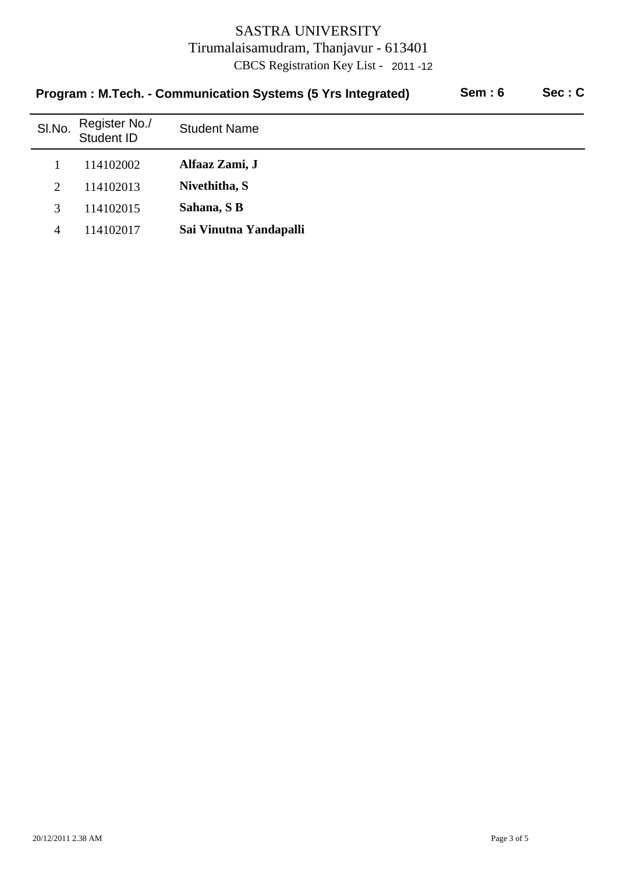|        | Program: M.Tech. - Communication Systems (5 Yrs Integrated) | <b>Sem: 6</b>          | Sec: C |  |
|--------|-------------------------------------------------------------|------------------------|--------|--|
| SI.No. | Register No./<br>Student ID                                 | <b>Student Name</b>    |        |  |
|        | 114102002                                                   | Alfaaz Zami, J         |        |  |
| 2      | 114102013                                                   | Nivethitha, S          |        |  |
| 3      | 114102015                                                   | Sahana, SB             |        |  |
| 4      | 114102017                                                   | Sai Vinutna Yandapalli |        |  |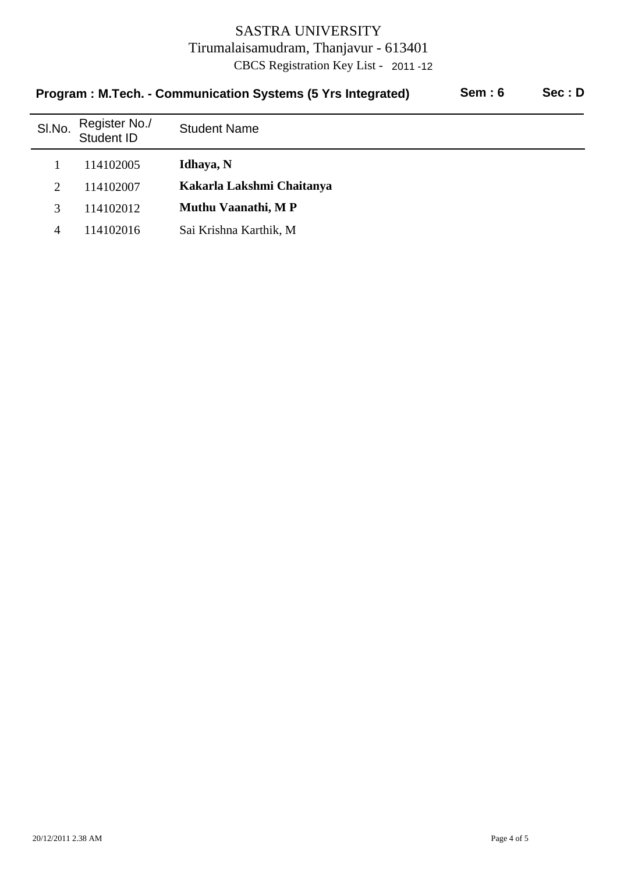| Sem: 6<br>Program: M.Tech. - Communication Systems (5 Yrs Integrated) |        |                             |                           |  | Sec: D |
|-----------------------------------------------------------------------|--------|-----------------------------|---------------------------|--|--------|
|                                                                       | SI.No. | Register No./<br>Student ID | <b>Student Name</b>       |  |        |
|                                                                       |        | 114102005                   | Idhaya, N                 |  |        |
|                                                                       | 2      | 114102007                   | Kakarla Lakshmi Chaitanya |  |        |
|                                                                       | 3      | 114102012                   | Muthu Vaanathi, MP        |  |        |
|                                                                       | 4      | 114102016                   | Sai Krishna Karthik, M    |  |        |